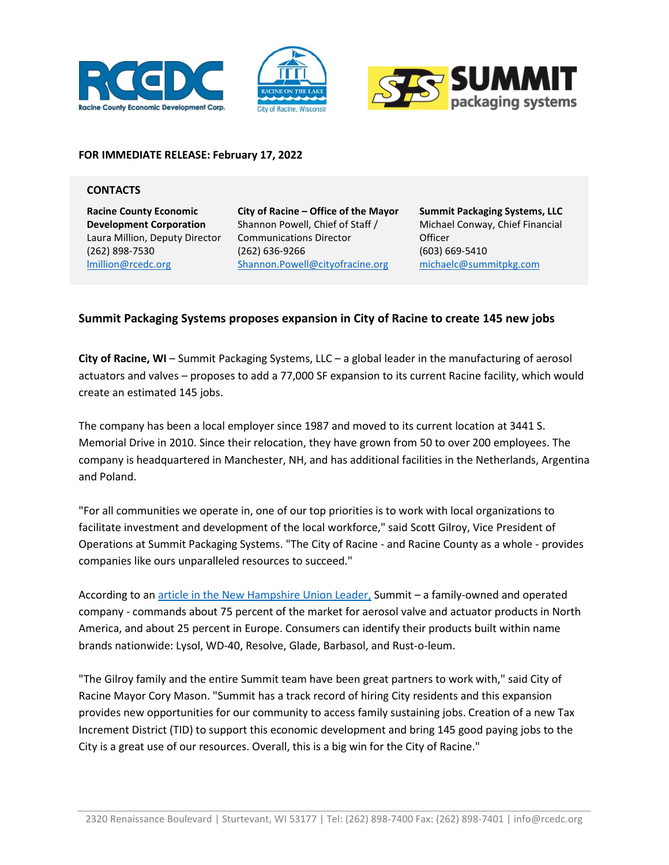





## **FOR IMMEDIATE RELEASE: February 17, 2022**

## **CONTACTS**

**Racine County Economic Development Corporation** Laura Million, Deputy Director (262) 898-7530 [lmillion@rcedc.org](mailto:lmillion@rcedc.org)

**City of Racine – Office of the Mayor** Shannon Powell, Chief of Staff / Communications Director (262) 636-9266 Shannon.Powell@cityofracine.org

**Summit Packaging Systems, LLC** Michael Conway, Chief Financial **Officer** (603) 669-5410 michaelc@summitpkg.com

## **Summit Packaging Systems proposes expansion in City of Racine to create 145 new jobs**

**City of Racine, WI** – Summit Packaging Systems, LLC – a global leader in the manufacturing of aerosol actuators and valves – proposes to add a 77,000 SF expansion to its current Racine facility, which would create an estimated 145 jobs.

The company has been a local employer since 1987 and moved to its current location at 3441 S. Memorial Drive in 2010. Since their relocation, they have grown from 50 to over 200 employees. The company is headquartered in Manchester, NH, and has additional facilities in the Netherlands, Argentina and Poland.

"For all communities we operate in, one of our top priorities is to work with local organizations to facilitate investment and development of the local workforce," said Scott Gilroy, Vice President of Operations at Summit Packaging Systems. "The City of Racine - and Racine County as a whole - provides companies like ours unparalleled resources to succeed."

According to a[n article in the New Hampshire Union Leader,](https://www.unionleader.com/news/business/business_notebook/business-editors-notebook-summit-packaging-propelled-by-family-connections/article_9de7d1e8-eef6-5fcd-9951-d21e823b07b1.html) Summit – a family-owned and operated company - commands about 75 percent of the market for aerosol valve and actuator products in North America, and about 25 percent in Europe. Consumers can identify their products built within name brands nationwide: Lysol, WD-40, Resolve, Glade, Barbasol, and Rust-o-leum.

"The Gilroy family and the entire Summit team have been great partners to work with," said City of Racine Mayor Cory Mason. "Summit has a track record of hiring City residents and this expansion provides new opportunities for our community to access family sustaining jobs. Creation of a new Tax Increment District (TID) to support this economic development and bring 145 good paying jobs to the City is a great use of our resources. Overall, this is a big win for the City of Racine."